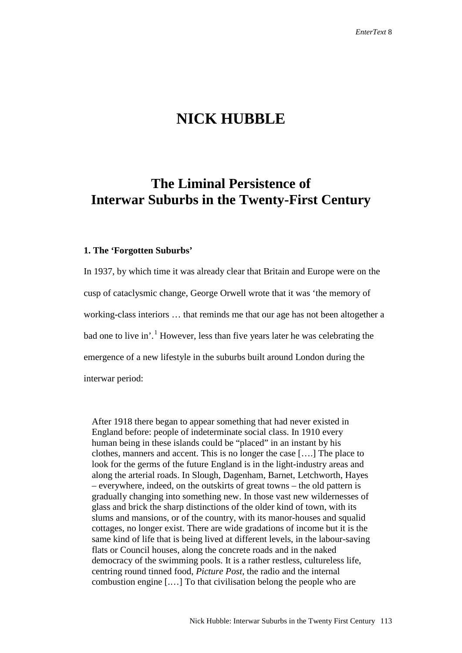# **NICK HUBBLE**

## **The Liminal Persistence of Interwar Suburbs in the Twenty-First Century**

#### **1. The 'Forgotten Suburbs'**

In 1937, by which time it was already clear that Britain and Europe were on the cusp of cataclysmic change, George Orwell wrote that it was 'the memory of working-class interiors … that reminds me that our age has not been altogether a bad one to live in'.<sup>[1](#page-18-0)</sup> However, less than five years later he was celebrating the emergence of a new lifestyle in the suburbs built around London during the interwar period:

After 1918 there began to appear something that had never existed in England before: people of indeterminate social class. In 1910 every human being in these islands could be "placed" in an instant by his clothes, manners and accent. This is no longer the case [….] The place to look for the germs of the future England is in the light-industry areas and along the arterial roads. In Slough, Dagenham, Barnet, Letchworth, Hayes – everywhere, indeed, on the outskirts of great towns – the old pattern is gradually changing into something new. In those vast new wildernesses of glass and brick the sharp distinctions of the older kind of town, with its slums and mansions, or of the country, with its manor-houses and squalid cottages, no longer exist. There are wide gradations of income but it is the same kind of life that is being lived at different levels, in the labour-saving flats or Council houses, along the concrete roads and in the naked democracy of the swimming pools. It is a rather restless, cultureless life, centring round tinned food, *Picture Post*, the radio and the internal combustion engine [.…] To that civilisation belong the people who are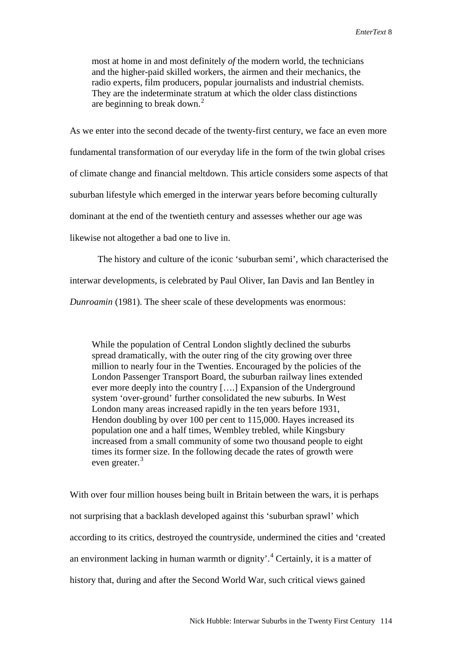most at home in and most definitely *of* the modern world, the technicians and the higher-paid skilled workers, the airmen and their mechanics, the radio experts, film producers, popular journalists and industrial chemists. They are the indeterminate stratum at which the older class distinctions are beginning to break down. $^{2}$  $^{2}$  $^{2}$ 

As we enter into the second decade of the twenty-first century, we face an even more fundamental transformation of our everyday life in the form of the twin global crises of climate change and financial meltdown. This article considers some aspects of that suburban lifestyle which emerged in the interwar years before becoming culturally dominant at the end of the twentieth century and assesses whether our age was likewise not altogether a bad one to live in.

The history and culture of the iconic 'suburban semi', which characterised the interwar developments, is celebrated by Paul Oliver, Ian Davis and Ian Bentley in *Dunroamin* (1981). The sheer scale of these developments was enormous:

While the population of Central London slightly declined the suburbs spread dramatically, with the outer ring of the city growing over three million to nearly four in the Twenties. Encouraged by the policies of the London Passenger Transport Board, the suburban railway lines extended ever more deeply into the country [….] Expansion of the Underground system 'over-ground' further consolidated the new suburbs. In West London many areas increased rapidly in the ten years before 1931, Hendon doubling by over 100 per cent to 115,000. Hayes increased its population one and a half times, Wembley trebled, while Kingsbury increased from a small community of some two thousand people to eight times its former size. In the following decade the rates of growth were even greater.<sup>[3](#page-19-1)</sup>

With over four million houses being built in Britain between the wars, it is perhaps not surprising that a backlash developed against this 'suburban sprawl' which according to its critics, destroyed the countryside, undermined the cities and 'created an environment lacking in human warmth or dignity'.<sup>[4](#page-19-2)</sup> Certainly, it is a matter of history that, during and after the Second World War, such critical views gained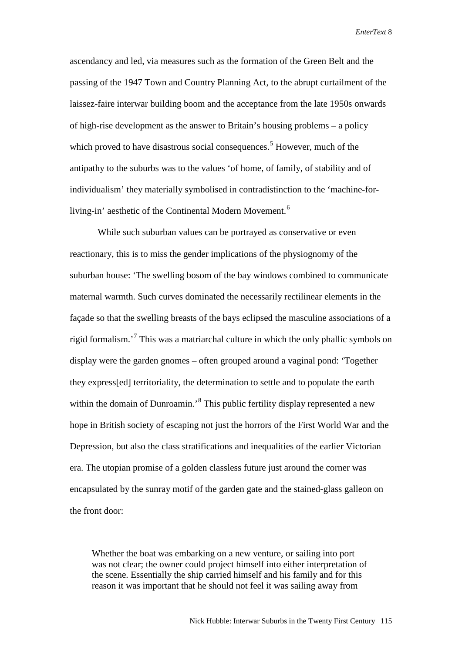ascendancy and led, via measures such as the formation of the Green Belt and the passing of the 1947 Town and Country Planning Act, to the abrupt curtailment of the laissez-faire interwar building boom and the acceptance from the late 1950s onwards of high-rise development as the answer to Britain's housing problems – a policy which proved to have disastrous social consequences.<sup>[5](#page-19-3)</sup> However, much of the antipathy to the suburbs was to the values 'of home, of family, of stability and of individualism' they materially symbolised in contradistinction to the 'machine-for-living-in' aesthetic of the Continental Modern Movement.<sup>[6](#page-19-4)</sup>

While such suburban values can be portrayed as conservative or even reactionary, this is to miss the gender implications of the physiognomy of the suburban house: 'The swelling bosom of the bay windows combined to communicate maternal warmth. Such curves dominated the necessarily rectilinear elements in the façade so that the swelling breasts of the bays eclipsed the masculine associations of a rigid formalism.<sup>[7](#page-19-5)</sup> This was a matriarchal culture in which the only phallic symbols on display were the garden gnomes – often grouped around a vaginal pond: 'Together they express[ed] territoriality, the determination to settle and to populate the earth within the domain of Dunroamin.<sup>[8](#page-19-6)</sup> This public fertility display represented a new hope in British society of escaping not just the horrors of the First World War and the Depression, but also the class stratifications and inequalities of the earlier Victorian era. The utopian promise of a golden classless future just around the corner was encapsulated by the sunray motif of the garden gate and the stained-glass galleon on the front door:

Whether the boat was embarking on a new venture, or sailing into port was not clear; the owner could project himself into either interpretation of the scene. Essentially the ship carried himself and his family and for this reason it was important that he should not feel it was sailing away from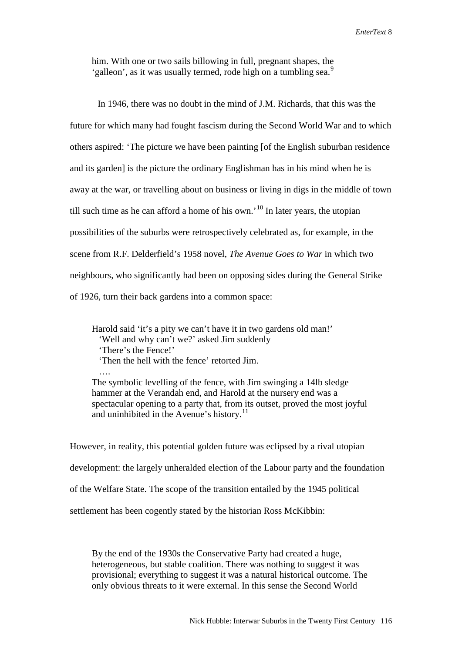him. With one or two sails billowing in full, pregnant shapes, the 'galleon', as it was usually termed, rode high on a tumbling sea.<sup>[9](#page-19-7)</sup>

In 1946, there was no doubt in the mind of J.M. Richards, that this was the future for which many had fought fascism during the Second World War and to which others aspired: 'The picture we have been painting [of the English suburban residence and its garden] is the picture the ordinary Englishman has in his mind when he is away at the war, or travelling about on business or living in digs in the middle of town till such time as he can afford a home of his own.<sup>'[10](#page-19-8)</sup> In later years, the utopian possibilities of the suburbs were retrospectively celebrated as, for example, in the scene from R.F. Delderfield's 1958 novel, *The Avenue Goes to War* in which two neighbours, who significantly had been on opposing sides during the General Strike of 1926, turn their back gardens into a common space:

Harold said 'it's a pity we can't have it in two gardens old man!' 'Well and why can't we?' asked Jim suddenly 'There's the Fence!' 'Then the hell with the fence' retorted Jim. …. The symbolic levelling of the fence, with Jim swinging a 14lb sledge

hammer at the Verandah end, and Harold at the nursery end was a spectacular opening to a party that, from its outset, proved the most joyful and uninhibited in the Avenue's history.<sup>[11](#page-19-9)</sup>

However, in reality, this potential golden future was eclipsed by a rival utopian development: the largely unheralded election of the Labour party and the foundation of the Welfare State. The scope of the transition entailed by the 1945 political settlement has been cogently stated by the historian Ross McKibbin:

By the end of the 1930s the Conservative Party had created a huge, heterogeneous, but stable coalition. There was nothing to suggest it was provisional; everything to suggest it was a natural historical outcome. The only obvious threats to it were external. In this sense the Second World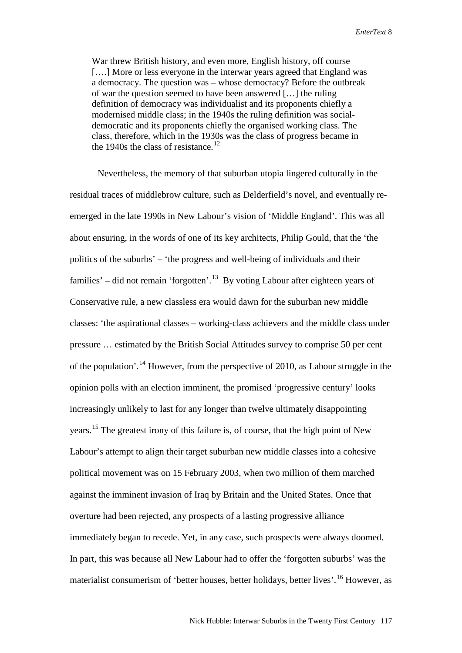War threw British history, and even more, English history, off course [...] More or less everyone in the interwar years agreed that England was a democracy. The question was – whose democracy? Before the outbreak of war the question seemed to have been answered […] the ruling definition of democracy was individualist and its proponents chiefly a modernised middle class; in the 1940s the ruling definition was socialdemocratic and its proponents chiefly the organised working class. The class, therefore, which in the 1930s was the class of progress became in the 1940s the class of resistance. $^{12}$  $^{12}$  $^{12}$ 

Nevertheless, the memory of that suburban utopia lingered culturally in the residual traces of middlebrow culture, such as Delderfield's novel, and eventually reemerged in the late 1990s in New Labour's vision of 'Middle England'. This was all about ensuring, in the words of one of its key architects, Philip Gould, that the 'the politics of the suburbs' – 'the progress and well-being of individuals and their families' – did not remain 'forgotten'.<sup>[13](#page-19-11)</sup> By voting Labour after eighteen years of Conservative rule, a new classless era would dawn for the suburban new middle classes: 'the aspirational classes – working-class achievers and the middle class under pressure … estimated by the British Social Attitudes survey to comprise 50 per cent of the population'.[14](#page-19-12) However, from the perspective of 2010, as Labour struggle in the opinion polls with an election imminent, the promised 'progressive century' looks increasingly unlikely to last for any longer than twelve ultimately disappointing years.[15](#page-19-13) The greatest irony of this failure is, of course, that the high point of New Labour's attempt to align their target suburban new middle classes into a cohesive political movement was on 15 February 2003, when two million of them marched against the imminent invasion of Iraq by Britain and the United States. Once that overture had been rejected, any prospects of a lasting progressive alliance immediately began to recede. Yet, in any case, such prospects were always doomed. In part, this was because all New Labour had to offer the 'forgotten suburbs' was the materialist consumerism of 'better houses, better holidays, better lives'.[16](#page-19-14) However, as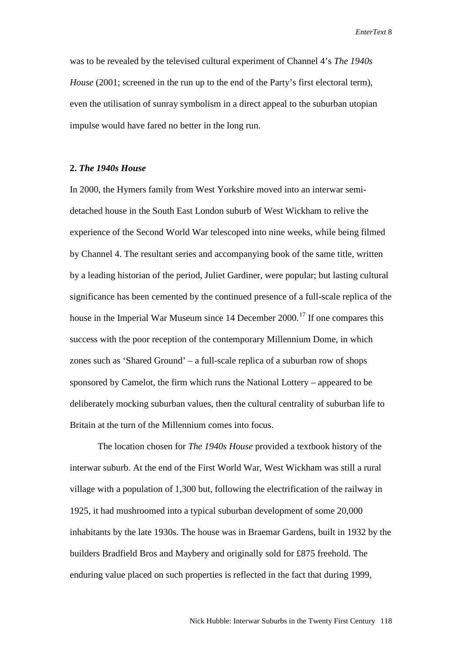was to be revealed by the televised cultural experiment of Channel 4's *The 1940s House* (2001; screened in the run up to the end of the Party's first electoral term). even the utilisation of sunray symbolism in a direct appeal to the suburban utopian impulse would have fared no better in the long run.

### **2.** *The 1940s House*

In 2000, the Hymers family from West Yorkshire moved into an interwar semidetached house in the South East London suburb of West Wickham to relive the experience of the Second World War telescoped into nine weeks, while being filmed by Channel 4. The resultant series and accompanying book of the same title, written by a leading historian of the period, Juliet Gardiner, were popular; but lasting cultural significance has been cemented by the continued presence of a full-scale replica of the house in the Imperial War Museum since  $14$  December  $2000$ .<sup>[17](#page-19-15)</sup> If one compares this success with the poor reception of the contemporary Millennium Dome, in which zones such as 'Shared Ground' – a full-scale replica of a suburban row of shops sponsored by Camelot, the firm which runs the National Lottery – appeared to be deliberately mocking suburban values, then the cultural centrality of suburban life to Britain at the turn of the Millennium comes into focus.

The location chosen for *The 1940s House* provided a textbook history of the interwar suburb. At the end of the First World War, West Wickham was still a rural village with a population of 1,300 but, following the electrification of the railway in 1925, it had mushroomed into a typical suburban development of some 20,000 inhabitants by the late 1930s. The house was in Braemar Gardens, built in 1932 by the builders Bradfield Bros and Maybery and originally sold for £875 freehold. The enduring value placed on such properties is reflected in the fact that during 1999,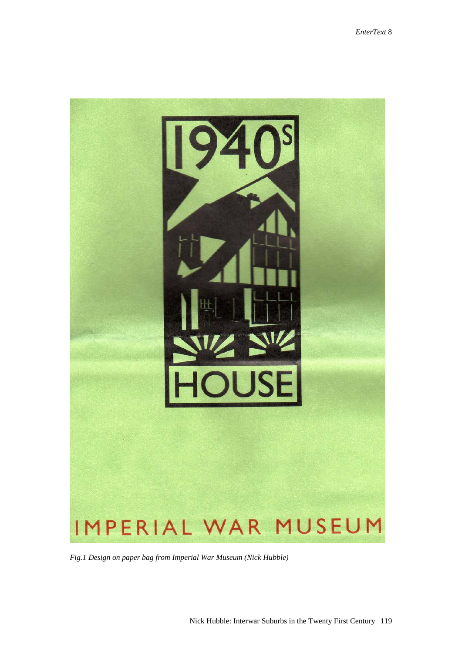

*Fig.1 Design on paper bag from Imperial War Museum (Nick Hubble)*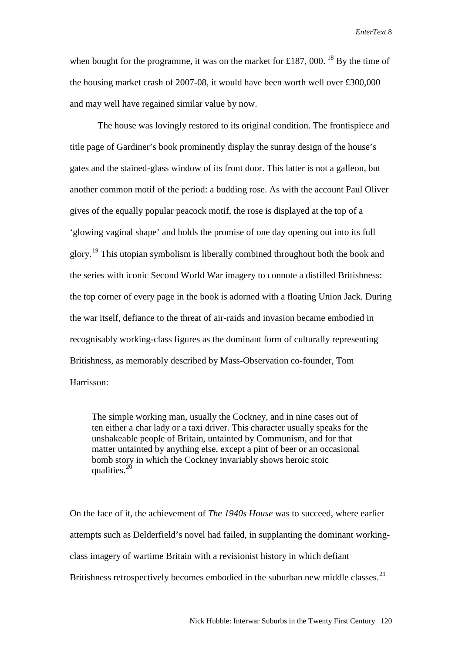when bought for the programme, it was on the market for £[18](#page-19-16)7, 000.<sup>18</sup> By the time of the housing market crash of 2007-08, it would have been worth well over £300,000 and may well have regained similar value by now.

The house was lovingly restored to its original condition. The frontispiece and title page of Gardiner's book prominently display the sunray design of the house's gates and the stained-glass window of its front door. This latter is not a galleon, but another common motif of the period: a budding rose. As with the account Paul Oliver gives of the equally popular peacock motif, the rose is displayed at the top of a 'glowing vaginal shape' and holds the promise of one day opening out into its full glory.<sup>[19](#page-19-17)</sup> This utopian symbolism is liberally combined throughout both the book and the series with iconic Second World War imagery to connote a distilled Britishness: the top corner of every page in the book is adorned with a floating Union Jack. During the war itself, defiance to the threat of air-raids and invasion became embodied in recognisably working-class figures as the dominant form of culturally representing Britishness, as memorably described by Mass-Observation co-founder, Tom Harrisson:

The simple working man, usually the Cockney, and in nine cases out of ten either a char lady or a taxi driver. This character usually speaks for the unshakeable people of Britain, untainted by Communism, and for that matter untainted by anything else, except a pint of beer or an occasional bomb story in which the Cockney invariably shows heroic stoic qualities. $^{20}$  $^{20}$  $^{20}$ 

On the face of it, the achievement of *The 1940s House* was to succeed, where earlier attempts such as Delderfield's novel had failed, in supplanting the dominant workingclass imagery of wartime Britain with a revisionist history in which defiant Britishness retrospectively becomes embodied in the suburban new middle classes.<sup>[21](#page-19-19)</sup>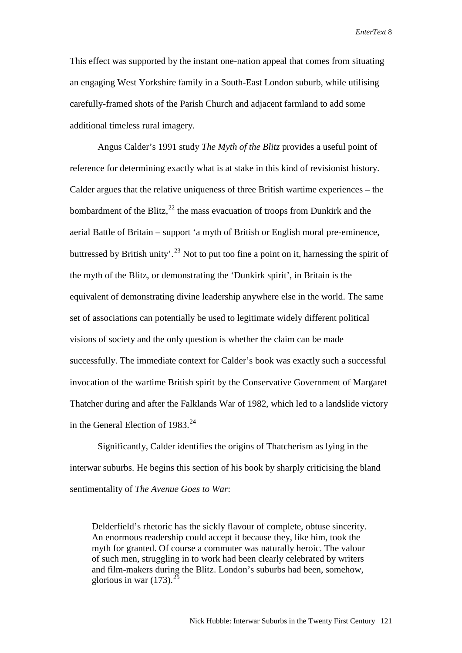This effect was supported by the instant one-nation appeal that comes from situating an engaging West Yorkshire family in a South-East London suburb, while utilising carefully-framed shots of the Parish Church and adjacent farmland to add some additional timeless rural imagery.

Angus Calder's 1991 study *The Myth of the Blitz* provides a useful point of reference for determining exactly what is at stake in this kind of revisionist history. Calder argues that the relative uniqueness of three British wartime experiences – the bombardment of the Blitz, $^{22}$  $^{22}$  $^{22}$  the mass evacuation of troops from Dunkirk and the aerial Battle of Britain – support 'a myth of British or English moral pre-eminence, buttressed by British unity'.<sup>[23](#page-19-21)</sup> Not to put too fine a point on it, harnessing the spirit of the myth of the Blitz, or demonstrating the 'Dunkirk spirit', in Britain is the equivalent of demonstrating divine leadership anywhere else in the world. The same set of associations can potentially be used to legitimate widely different political visions of society and the only question is whether the claim can be made successfully. The immediate context for Calder's book was exactly such a successful invocation of the wartime British spirit by the Conservative Government of Margaret Thatcher during and after the Falklands War of 1982, which led to a landslide victory in the General Election of  $1983<sup>24</sup>$  $1983<sup>24</sup>$  $1983<sup>24</sup>$ 

Significantly, Calder identifies the origins of Thatcherism as lying in the interwar suburbs. He begins this section of his book by sharply criticising the bland sentimentality of *The Avenue Goes to War*:

Delderfield's rhetoric has the sickly flavour of complete, obtuse sincerity. An enormous readership could accept it because they, like him, took the myth for granted. Of course a commuter was naturally heroic. The valour of such men, struggling in to work had been clearly celebrated by writers and film-makers during the Blitz. London's suburbs had been, somehow, glorious in war  $(173)$ .<sup>[25](#page-19-23)</sup>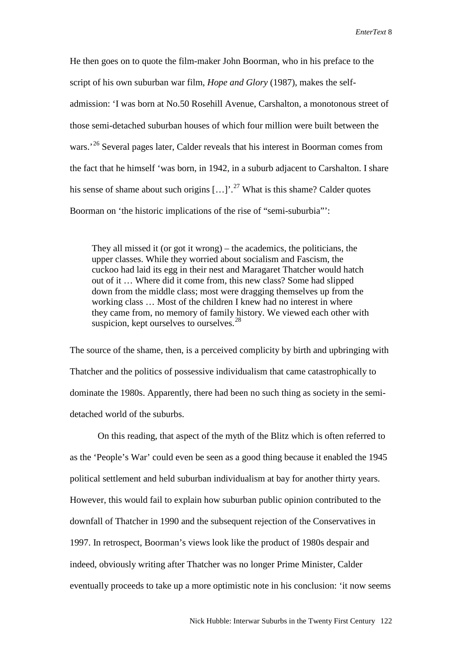He then goes on to quote the film-maker John Boorman, who in his preface to the script of his own suburban war film, *Hope and Glory* (1987), makes the selfadmission: 'I was born at No.50 Rosehill Avenue, Carshalton, a monotonous street of those semi-detached suburban houses of which four million were built between the wars.<sup>'[26](#page-19-24)</sup> Several pages later, Calder reveals that his interest in Boorman comes from the fact that he himself 'was born, in 1942, in a suburb adjacent to Carshalton. I share his sense of shame about such origins  $[...]$ <sup>[27](#page-19-25)</sup> What is this shame? Calder quotes Boorman on 'the historic implications of the rise of "semi-suburbia"':

They all missed it (or got it wrong) – the academics, the politicians, the upper classes. While they worried about socialism and Fascism, the cuckoo had laid its egg in their nest and Maragaret Thatcher would hatch out of it … Where did it come from, this new class? Some had slipped down from the middle class; most were dragging themselves up from the working class … Most of the children I knew had no interest in where they came from, no memory of family history. We viewed each other with suspicion, kept ourselves to ourselves. $28$ 

The source of the shame, then, is a perceived complicity by birth and upbringing with Thatcher and the politics of possessive individualism that came catastrophically to dominate the 1980s. Apparently, there had been no such thing as society in the semidetached world of the suburbs.

On this reading, that aspect of the myth of the Blitz which is often referred to as the 'People's War' could even be seen as a good thing because it enabled the 1945 political settlement and held suburban individualism at bay for another thirty years. However, this would fail to explain how suburban public opinion contributed to the downfall of Thatcher in 1990 and the subsequent rejection of the Conservatives in 1997. In retrospect, Boorman's views look like the product of 1980s despair and indeed, obviously writing after Thatcher was no longer Prime Minister, Calder eventually proceeds to take up a more optimistic note in his conclusion: 'it now seems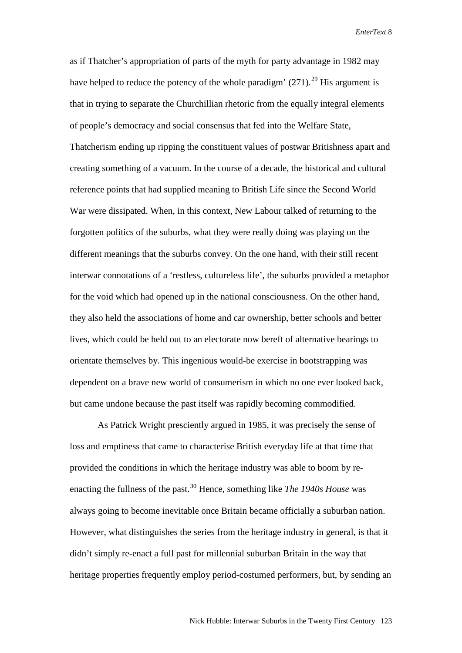as if Thatcher's appropriation of parts of the myth for party advantage in 1982 may have helped to reduce the potency of the whole paradigm'  $(271)$ .<sup>[29](#page-19-27)</sup> His argument is that in trying to separate the Churchillian rhetoric from the equally integral elements of people's democracy and social consensus that fed into the Welfare State, Thatcherism ending up ripping the constituent values of postwar Britishness apart and creating something of a vacuum. In the course of a decade, the historical and cultural reference points that had supplied meaning to British Life since the Second World War were dissipated. When, in this context, New Labour talked of returning to the forgotten politics of the suburbs, what they were really doing was playing on the different meanings that the suburbs convey. On the one hand, with their still recent interwar connotations of a 'restless, cultureless life', the suburbs provided a metaphor for the void which had opened up in the national consciousness. On the other hand, they also held the associations of home and car ownership, better schools and better lives, which could be held out to an electorate now bereft of alternative bearings to orientate themselves by. This ingenious would-be exercise in bootstrapping was dependent on a brave new world of consumerism in which no one ever looked back, but came undone because the past itself was rapidly becoming commodified.

As Patrick Wright presciently argued in 1985, it was precisely the sense of loss and emptiness that came to characterise British everyday life at that time that provided the conditions in which the heritage industry was able to boom by reenacting the fullness of the past.[30](#page-19-28) Hence, something like *The 1940s House* was always going to become inevitable once Britain became officially a suburban nation. However, what distinguishes the series from the heritage industry in general, is that it didn't simply re-enact a full past for millennial suburban Britain in the way that heritage properties frequently employ period-costumed performers, but, by sending an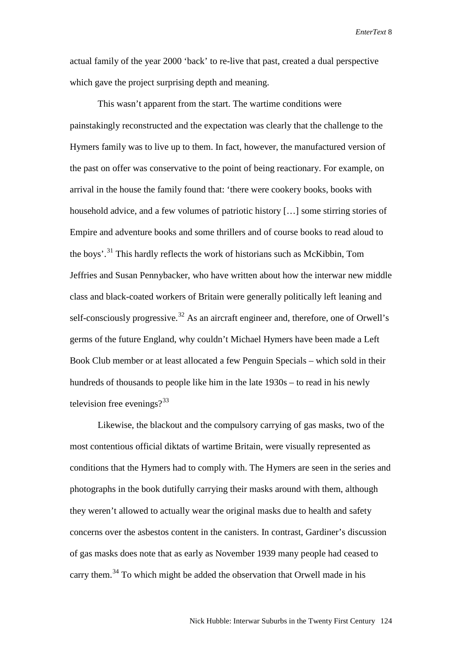actual family of the year 2000 'back' to re-live that past, created a dual perspective which gave the project surprising depth and meaning.

This wasn't apparent from the start. The wartime conditions were painstakingly reconstructed and the expectation was clearly that the challenge to the Hymers family was to live up to them. In fact, however, the manufactured version of the past on offer was conservative to the point of being reactionary. For example, on arrival in the house the family found that: 'there were cookery books, books with household advice, and a few volumes of patriotic history […] some stirring stories of Empire and adventure books and some thrillers and of course books to read aloud to the boys'.[31](#page-19-29) This hardly reflects the work of historians such as McKibbin, Tom Jeffries and Susan Pennybacker, who have written about how the interwar new middle class and black-coated workers of Britain were generally politically left leaning and self-consciously progressive.<sup>[32](#page-19-30)</sup> As an aircraft engineer and, therefore, one of Orwell's germs of the future England, why couldn't Michael Hymers have been made a Left Book Club member or at least allocated a few Penguin Specials – which sold in their hundreds of thousands to people like him in the late 1930s – to read in his newly television free evenings? $33$ 

Likewise, the blackout and the compulsory carrying of gas masks, two of the most contentious official diktats of wartime Britain, were visually represented as conditions that the Hymers had to comply with. The Hymers are seen in the series and photographs in the book dutifully carrying their masks around with them, although they weren't allowed to actually wear the original masks due to health and safety concerns over the asbestos content in the canisters. In contrast, Gardiner's discussion of gas masks does note that as early as November 1939 many people had ceased to carry them.<sup>[34](#page-19-32)</sup> To which might be added the observation that Orwell made in his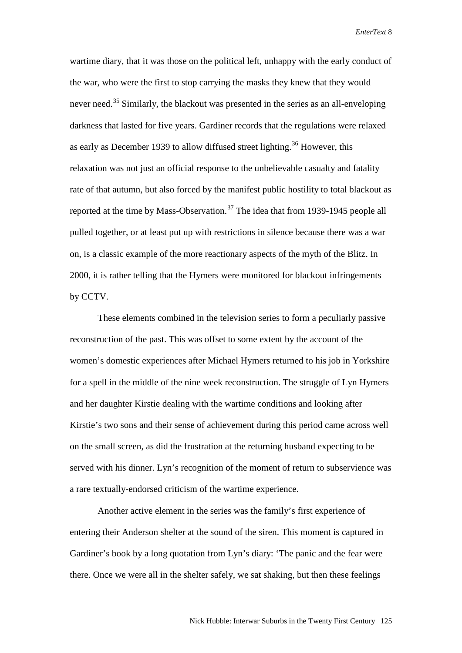wartime diary, that it was those on the political left, unhappy with the early conduct of the war, who were the first to stop carrying the masks they knew that they would never need.<sup>[35](#page-19-33)</sup> Similarly, the blackout was presented in the series as an all-enveloping darkness that lasted for five years. Gardiner records that the regulations were relaxed as early as December 1939 to allow diffused street lighting.<sup>[36](#page-19-34)</sup> However, this relaxation was not just an official response to the unbelievable casualty and fatality rate of that autumn, but also forced by the manifest public hostility to total blackout as reported at the time by Mass-Observation.<sup>[37](#page-19-35)</sup> The idea that from 1939-1945 people all pulled together, or at least put up with restrictions in silence because there was a war on, is a classic example of the more reactionary aspects of the myth of the Blitz. In 2000, it is rather telling that the Hymers were monitored for blackout infringements by CCTV.

These elements combined in the television series to form a peculiarly passive reconstruction of the past. This was offset to some extent by the account of the women's domestic experiences after Michael Hymers returned to his job in Yorkshire for a spell in the middle of the nine week reconstruction. The struggle of Lyn Hymers and her daughter Kirstie dealing with the wartime conditions and looking after Kirstie's two sons and their sense of achievement during this period came across well on the small screen, as did the frustration at the returning husband expecting to be served with his dinner. Lyn's recognition of the moment of return to subservience was a rare textually-endorsed criticism of the wartime experience.

Another active element in the series was the family's first experience of entering their Anderson shelter at the sound of the siren. This moment is captured in Gardiner's book by a long quotation from Lyn's diary: 'The panic and the fear were there. Once we were all in the shelter safely, we sat shaking, but then these feelings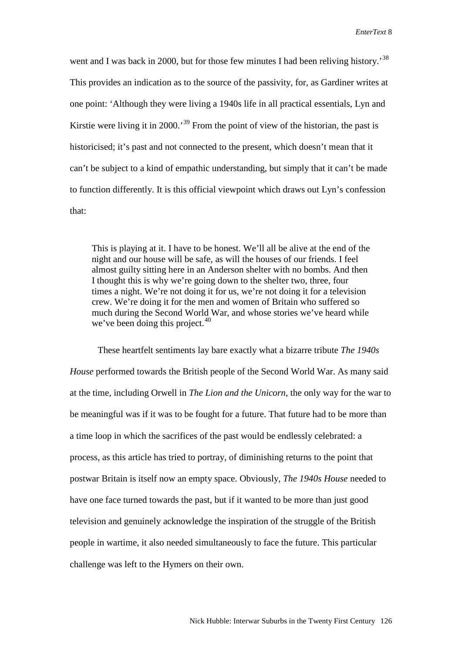went and I was back in 2000, but for those few minutes I had been reliving history.<sup>[38](#page-19-36)</sup> This provides an indication as to the source of the passivity, for, as Gardiner writes at one point: 'Although they were living a 1940s life in all practical essentials, Lyn and Kirstie were living it in 2000.<sup>[39](#page-19-37)</sup> From the point of view of the historian, the past is historicised; it's past and not connected to the present, which doesn't mean that it can't be subject to a kind of empathic understanding, but simply that it can't be made to function differently. It is this official viewpoint which draws out Lyn's confession that:

This is playing at it. I have to be honest. We'll all be alive at the end of the night and our house will be safe, as will the houses of our friends. I feel almost guilty sitting here in an Anderson shelter with no bombs. And then I thought this is why we're going down to the shelter two, three, four times a night. We're not doing it for us, we're not doing it for a television crew. We're doing it for the men and women of Britain who suffered so much during the Second World War, and whose stories we've heard while we've been doing this project.<sup>[40](#page-19-38)</sup>

These heartfelt sentiments lay bare exactly what a bizarre tribute *The 1940s House* performed towards the British people of the Second World War. As many said at the time, including Orwell in *The Lion and the Unicorn*, the only way for the war to be meaningful was if it was to be fought for a future. That future had to be more than a time loop in which the sacrifices of the past would be endlessly celebrated: a process, as this article has tried to portray, of diminishing returns to the point that postwar Britain is itself now an empty space. Obviously, *The 1940s House* needed to have one face turned towards the past, but if it wanted to be more than just good television and genuinely acknowledge the inspiration of the struggle of the British people in wartime, it also needed simultaneously to face the future. This particular challenge was left to the Hymers on their own.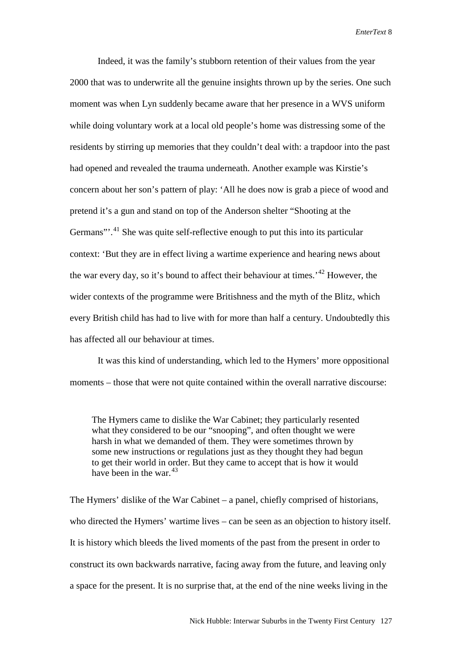Indeed, it was the family's stubborn retention of their values from the year 2000 that was to underwrite all the genuine insights thrown up by the series. One such moment was when Lyn suddenly became aware that her presence in a WVS uniform while doing voluntary work at a local old people's home was distressing some of the residents by stirring up memories that they couldn't deal with: a trapdoor into the past had opened and revealed the trauma underneath. Another example was Kirstie's concern about her son's pattern of play: 'All he does now is grab a piece of wood and pretend it's a gun and stand on top of the Anderson shelter "Shooting at the Germans"<sup>1</sup>.<sup>[41](#page-19-39)</sup> She was quite self-reflective enough to put this into its particular context: 'But they are in effect living a wartime experience and hearing news about the war every day, so it's bound to affect their behaviour at times.'[42](#page-19-40) However, the wider contexts of the programme were Britishness and the myth of the Blitz, which every British child has had to live with for more than half a century. Undoubtedly this has affected all our behaviour at times.

It was this kind of understanding, which led to the Hymers' more oppositional moments – those that were not quite contained within the overall narrative discourse:

The Hymers came to dislike the War Cabinet; they particularly resented what they considered to be our "snooping", and often thought we were harsh in what we demanded of them. They were sometimes thrown by some new instructions or regulations just as they thought they had begun to get their world in order. But they came to accept that is how it would have been in the war.  $43$ 

The Hymers' dislike of the War Cabinet – a panel, chiefly comprised of historians, who directed the Hymers' wartime lives – can be seen as an objection to history itself. It is history which bleeds the lived moments of the past from the present in order to construct its own backwards narrative, facing away from the future, and leaving only a space for the present. It is no surprise that, at the end of the nine weeks living in the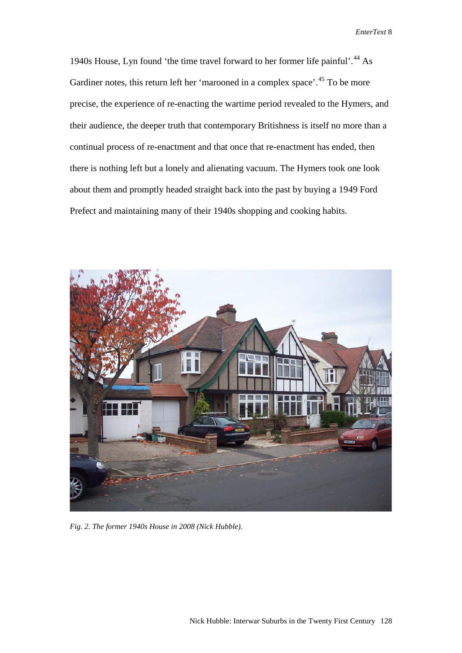1940s House, Lyn found 'the time travel forward to her former life painful'.<sup>[44](#page-19-42)</sup> As Gardiner notes, this return left her 'marooned in a complex space'.<sup>[45](#page-19-43)</sup> To be more precise, the experience of re-enacting the wartime period revealed to the Hymers, and their audience, the deeper truth that contemporary Britishness is itself no more than a continual process of re-enactment and that once that re-enactment has ended, then there is nothing left but a lonely and alienating vacuum. The Hymers took one look about them and promptly headed straight back into the past by buying a 1949 Ford Prefect and maintaining many of their 1940s shopping and cooking habits.



*Fig. 2. The former 1940s House in 2008 (Nick Hubble).*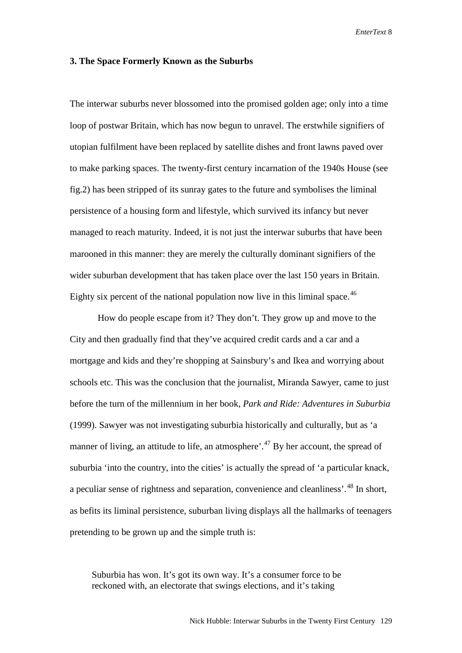#### **3. The Space Formerly Known as the Suburbs**

The interwar suburbs never blossomed into the promised golden age; only into a time loop of postwar Britain, which has now begun to unravel. The erstwhile signifiers of utopian fulfilment have been replaced by satellite dishes and front lawns paved over to make parking spaces. The twenty-first century incarnation of the 1940s House (see fig.2) has been stripped of its sunray gates to the future and symbolises the liminal persistence of a housing form and lifestyle, which survived its infancy but never managed to reach maturity. Indeed, it is not just the interwar suburbs that have been marooned in this manner: they are merely the culturally dominant signifiers of the wider suburban development that has taken place over the last 150 years in Britain. Eighty six percent of the national population now live in this liminal space.<sup>[46](#page-19-44)</sup>

How do people escape from it? They don't. They grow up and move to the City and then gradually find that they've acquired credit cards and a car and a mortgage and kids and they're shopping at Sainsbury's and Ikea and worrying about schools etc. This was the conclusion that the journalist, Miranda Sawyer, came to just before the turn of the millennium in her book, *Park and Ride: Adventures in Suburbia*  (1999). Sawyer was not investigating suburbia historically and culturally, but as 'a manner of living, an attitude to life, an atmosphere'.<sup>[47](#page-19-45)</sup> By her account, the spread of suburbia 'into the country, into the cities' is actually the spread of 'a particular knack, a peculiar sense of rightness and separation, convenience and cleanliness'.[48](#page-19-46) In short, as befits its liminal persistence, suburban living displays all the hallmarks of teenagers pretending to be grown up and the simple truth is:

Suburbia has won. It's got its own way. It's a consumer force to be reckoned with, an electorate that swings elections, and it's taking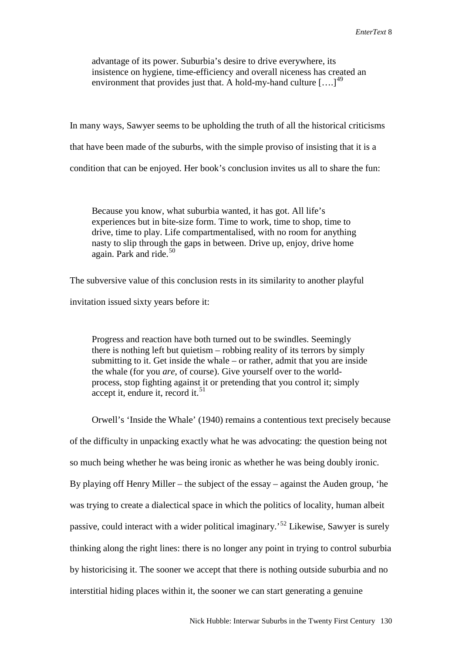advantage of its power. Suburbia's desire to drive everywhere, its insistence on hygiene, time-efficiency and overall niceness has created an environment that provides just that. A hold-my-hand culture  $\left[ \ldots \right]^{49}$  $\left[ \ldots \right]^{49}$  $\left[ \ldots \right]^{49}$ 

In many ways, Sawyer seems to be upholding the truth of all the historical criticisms that have been made of the suburbs, with the simple proviso of insisting that it is a condition that can be enjoyed. Her book's conclusion invites us all to share the fun:

Because you know, what suburbia wanted, it has got. All life's experiences but in bite-size form. Time to work, time to shop, time to drive, time to play. Life compartmentalised, with no room for anything nasty to slip through the gaps in between. Drive up, enjoy, drive home again. Park and ride.<sup>[50](#page-19-48)</sup>

The subversive value of this conclusion rests in its similarity to another playful invitation issued sixty years before it:

Progress and reaction have both turned out to be swindles. Seemingly there is nothing left but quietism – robbing reality of its terrors by simply submitting to it. Get inside the whale – or rather, admit that you are inside the whale (for you *are*, of course). Give yourself over to the worldprocess, stop fighting against it or pretending that you control it; simply accept it, endure it, record it.<sup>[51](#page-19-49)</sup>

Orwell's 'Inside the Whale' (1940) remains a contentious text precisely because of the difficulty in unpacking exactly what he was advocating: the question being not so much being whether he was being ironic as whether he was being doubly ironic. By playing off Henry Miller – the subject of the essay – against the Auden group, 'he was trying to create a dialectical space in which the politics of locality, human albeit passive, could interact with a wider political imaginary.'[52](#page-19-50) Likewise, Sawyer is surely thinking along the right lines: there is no longer any point in trying to control suburbia by historicising it. The sooner we accept that there is nothing outside suburbia and no interstitial hiding places within it, the sooner we can start generating a genuine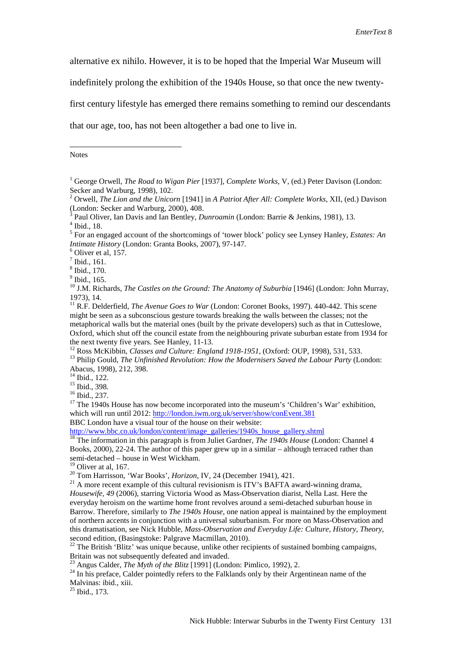alternative ex nihilo. However, it is to be hoped that the Imperial War Museum will

indefinitely prolong the exhibition of the 1940s House, so that once the new twenty-

first century lifestyle has emerged there remains something to remind our descendants

that our age, too, has not been altogether a bad one to live in.

<span id="page-18-0"></span>Notes

1

 $^7$  Ibid., 161.

 $<sup>9</sup>$  Ibid., 165.</sup>

<sup>10</sup> J.M. Richards, *The Castles on the Ground: The Anatomy of Suburbia* [1946] (London: John Murray, 1973), 14.

<sup>15</sup> Ibid., 398.<br><sup>16</sup> Ibid., 237.<br><sup>17</sup> The 1940s House has now become incorporated into the museum's 'Children's War' exhibition, which will run until 2012:<http://london.iwm.org.uk/server/show/conEvent.381>

BBC London have a visual tour of the house on their website:

[http://www.bbc.co.uk/london/content/image\\_galleries/1940s\\_house\\_gallery.shtml](http://www.bbc.co.uk/london/content/image_galleries/1940s_house_gallery.shtml) <sup>18</sup> The information in this paragraph is from Juliet Gardner, *The 1940s House* (London: Channel 4 Books, 2000), 22-24. The author of this paper grew up in a similar – although terraced rather than semi-detached – house in West Wickham.<br><sup>19</sup> Oliver at al, 167.

<sup>20</sup> Tom Harrisson, 'War Books', *Horizon*, IV, 24 (December 1941), 421.<br><sup>21</sup> A more recent example of this cultural revisionism is ITV's BAFTA award-winning drama, *Housewife, 49* (2006), starring Victoria Wood as Mass-Observation diarist, Nella Last. Here the everyday heroism on the wartime home front revolves around a semi-detached suburban house in Barrow. Therefore, similarly to *The 1940s House*, one nation appeal is maintained by the employment of northern accents in conjunction with a universal suburbanism. For more on Mass-Observation and this dramatisation, see Nick Hubble, *Mass-Observation and Everyday Life: Culture, History, Theory*, second edition, (Basingstoke: Palgrave Macmillan, 2010).

 $22$  The British 'Blitz' was unique because, unlike other recipients of sustained bombing campaigns, Britain was not subsequently defeated and invaded.<br><sup>23</sup> Angus Calder, *The Myth of the Blitz* [1991] (London: Pimlico, 1992), 2.<br><sup>24</sup> In his preface, Calder pointedly refers to the Falklands only by their Argentinean name

Malvinas: ibid., xiii.

 $^{25}$  Ibid., 173.

<sup>&</sup>lt;sup>1</sup> George Orwell, *The Road to Wigan Pier* [1937], *Complete Works*, V, (ed.) Peter Davison (London: Secker and Warburg, 1998), 102.

<sup>&</sup>lt;sup>2</sup> Orwell, *The Lion and the Unicorn* [1941] in *A Patriot After All: Complete Works*, XII, (ed.) Davison (London: Secker and Warburg, 2000), 408.

<sup>&</sup>lt;sup>3</sup> Paul Oliver, Ian Davis and Ian Bentley, *Dunroamin* (London: Barrie & Jenkins, 1981), 13.<br><sup>4</sup> Ibid., 18.

<sup>5</sup> For an engaged account of the shortcomings of 'tower block' policy see Lynsey Hanley, *Estates: An Intimate History* (London: Granta Books, 2007), 97-147. <sup>6</sup> Oliver et al, 157.

<sup>8</sup> Ibid., 170.

<sup>&</sup>lt;sup>11</sup> R.F. Delderfield, *The Avenue Goes to War* (London: Coronet Books, 1997). 440-442. This scene might be seen as a subconscious gesture towards breaking the walls between the classes; not the metaphorical walls but the material ones (built by the private developers) such as that in Cutteslowe, Oxford, which shut off the council estate from the neighbouring private suburban estate from 1934 for the next twenty five years. See Hanley, 11-13.<br><sup>12</sup> Ross McKibbin, *Classes and Culture: England 1918-1951*, (Oxford: OUP, 1998), 531, 533.<br><sup>13</sup> Philip Gould. *The Unfinished Revolution: How the Modernisers Saved the Labou* 

Abacus, 1998), 212, 398.<br><sup>14</sup> Ibid., 122.